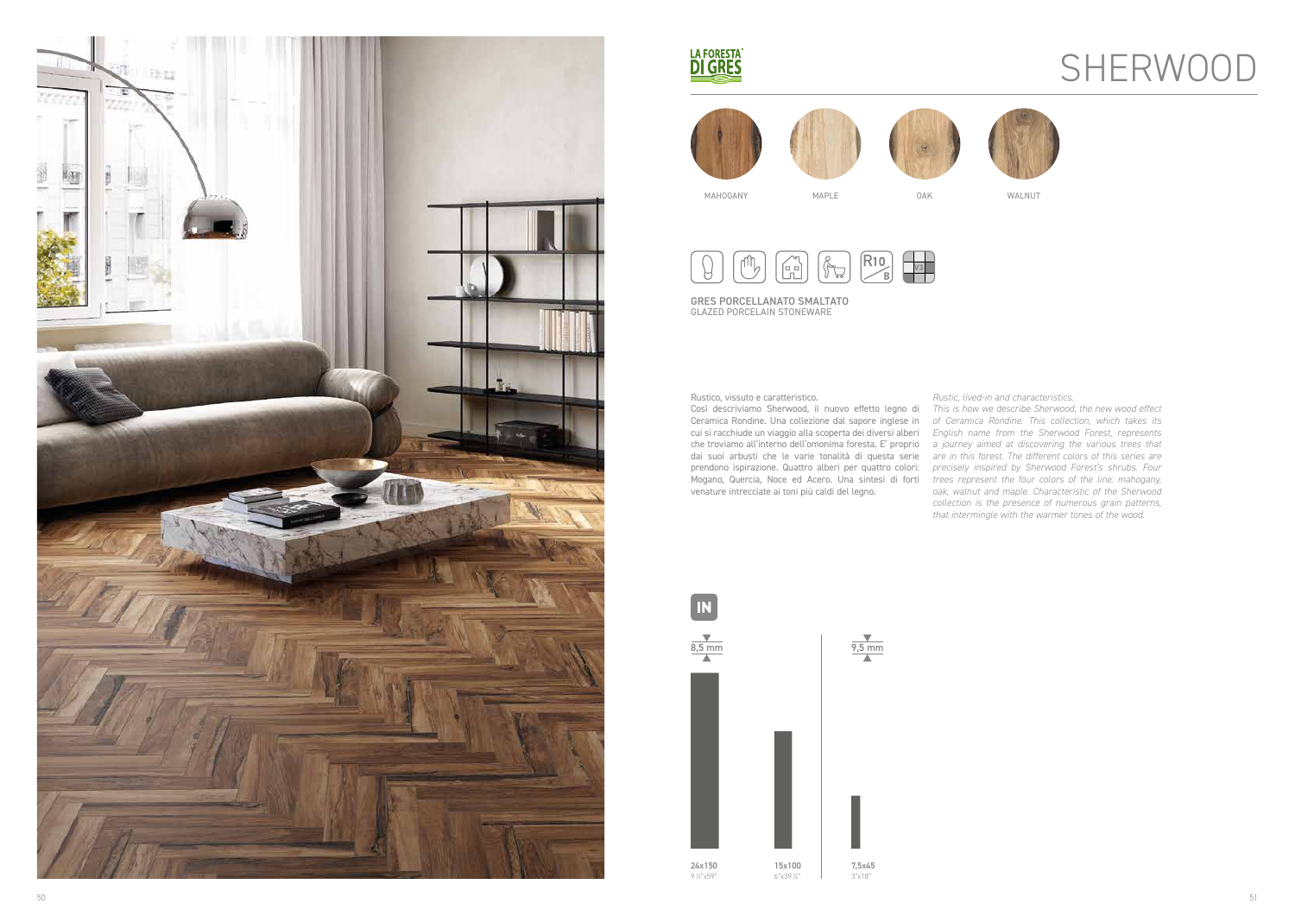

### LA FORESTA®

GRES PORCELLANATO SMALTATO GLAZED PORCELAIN STONEWARE



R10<br>B<br>B μψ<sup>δ</sup>  $\begin{matrix} 1 \\ 1 \\ 2 \end{matrix}$  $\sqrt[n]{\nabla^2}$ 

Rustico, vissuto e caratteristico.

Così descriviamo Sherwood, il nuovo effetto legno di Ceramica Rondine. Una collezione dal sapore inglese in cui si racchiude un viaggio alla scoperta dei diversi alberi *English name from the Sherwood Forest, represents*  che troviamo all'interno dell'omonima foresta. E' proprio *a journey aimed at discovering the various trees that*  dai suoi arbusti che le varie tonalità di questa serie are in this forest. The different colors of this series are prendono ispirazione. Quattro alberi per quattro colori: *precisely inspired by Sherwood Forest's shrubs. Four*  Mogano, Quercia, Noce ed Acero. Una sintesi di forti *trees represent the four colors of the line: mahogany,*  venature intrecciate ai toni più caldi del legno.



# **SHERWOOD**

*Rustic, lived-in and characteristics.*



*This is how we describe Sherwood, the new wood effect of Ceramica Rondine. This collection, which takes its oak, walnut and maple. Characteristic of the Sherwood collection is the presence of numerous grain patterns, that intermingle with the warmer tones of the wood.*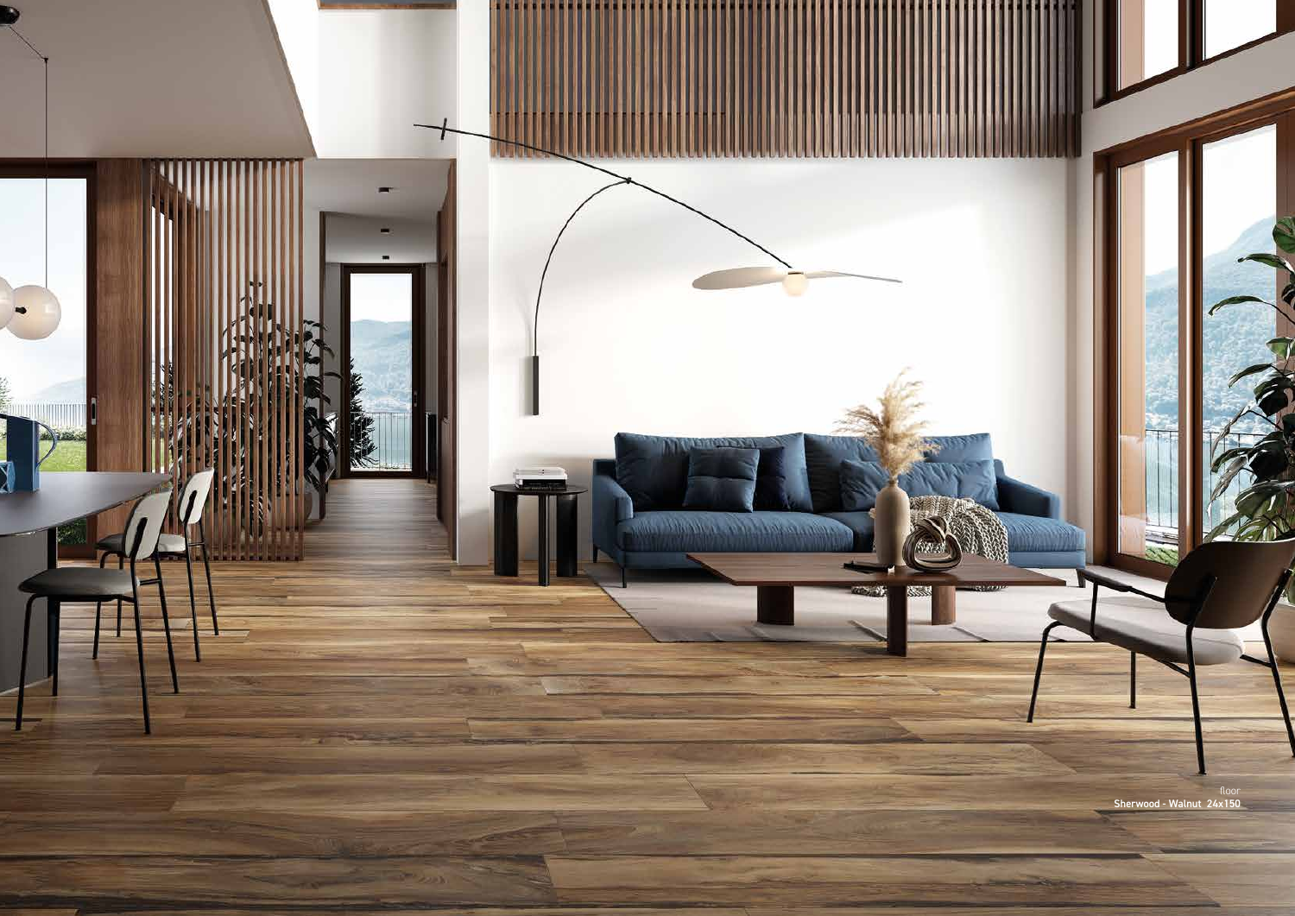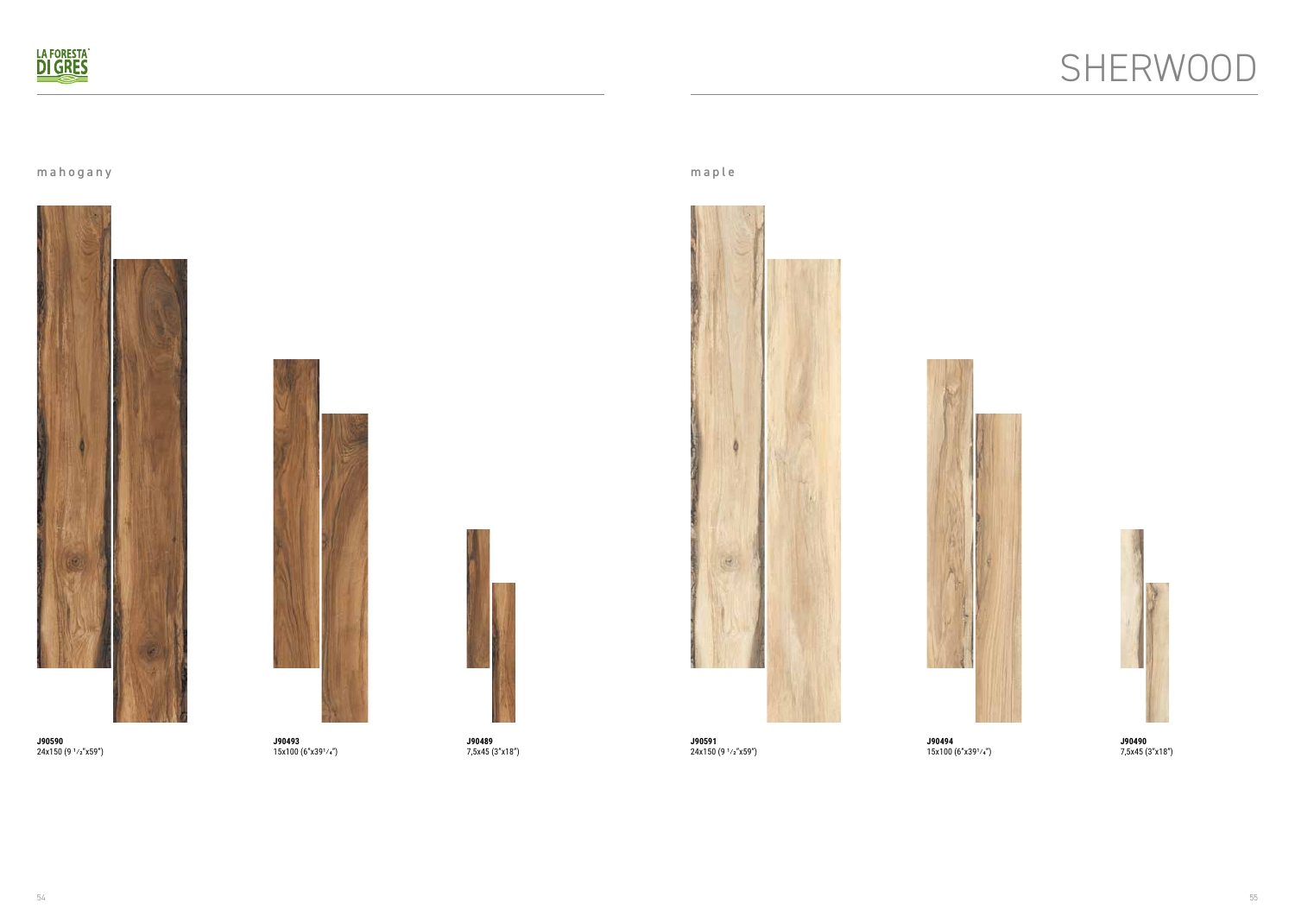

mahogany maple



**J90590** 24x150 (9 1/2"x59")



**J90591** 24x150 (9 1/2"x59")



**J90489** 7,5x45 (3"x18")



**J90490** 7,5x45 (3"x18")



**J90493** 15x100 (6"x391/4")



**J90494** 15x100 (6"x391/4")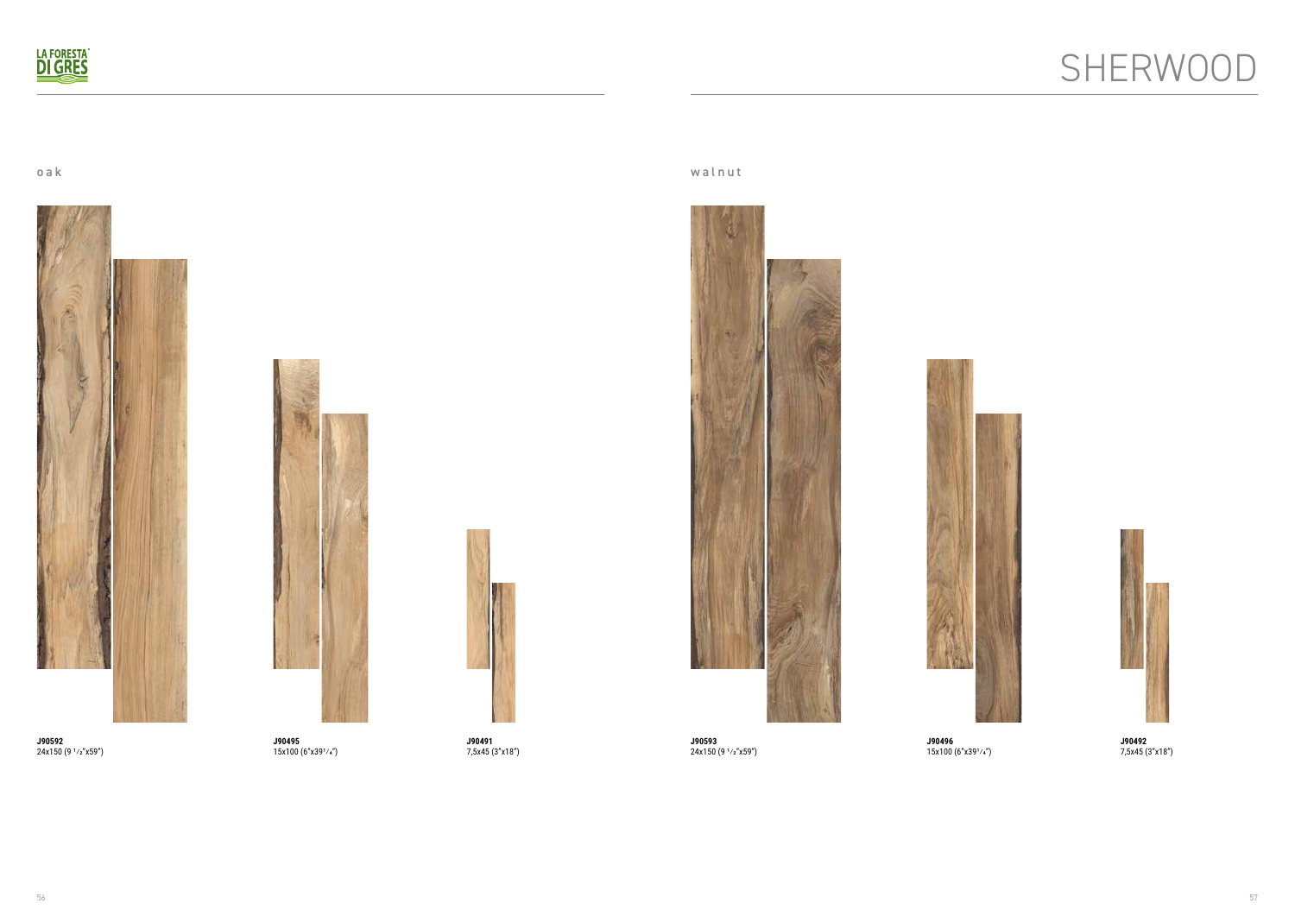## SHERWOOD



oak walnut



**J90592** 24x150 (9 1/2"x59")



**J90593** 24x150 (9 1/2"x59")



**J90491** 7,5x45 (3"x18")



**J90492** 7,5x45 (3"x18")



**J90495** 15x100 (6"x391/4")



**J90496** 15x100 (6"x391/4")